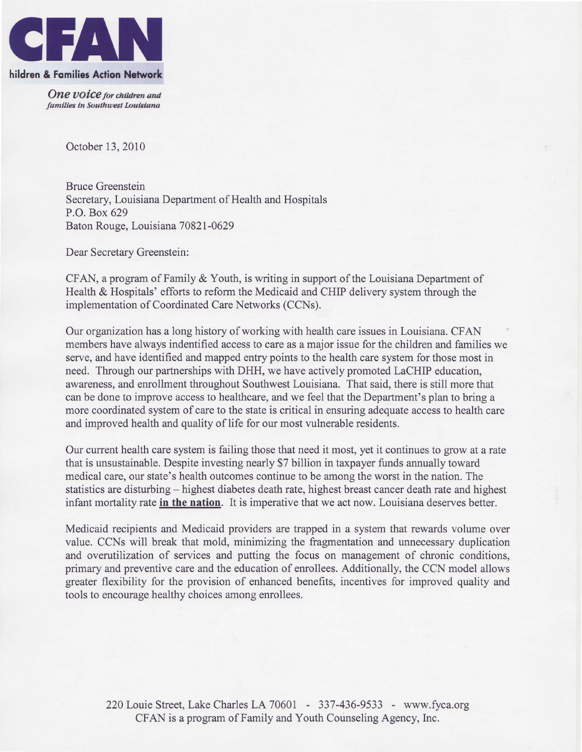

One voice for children and families in Southwest Louisiana

October 13.2010

Bruce Greenstein Secretary, Louisiana Department of Health and Hospitals P.O. Box 629 Baton Rouge, Louisiana 7082I-0629

Dear Secretary Greenstein:

CFAN, a program of Family & Youth, is writing in support of the Louisiana Department of Health & Hospitals' efforts to reform the Medicaid and CHIP delivery system through the implementation of Coordinated Care Networks (CCNs).

Our organization has a long history of working with health care issues in Louisiana. CFAN members have always indentified access to care as a major issue for the children and families we serve, and have identified and mapped entry points to the health care system for those most in need. Through our partnerships with DHH, we have actively promoted LaCHIP education, awareness, and enrollment throughout Southwest Louisiana. That said, there is still more that can be done to improve access to healthcare, and we feel that the Department's plan to bring a more coordinated system of care to the state is critical in ensuring adequate access to health care and improved health and quality of life for our most vulnerable residents.

Our current health care system is failing those that need it most, yet it continues to grow at a rate that is unsustainable. Despite investing nearly \$7 billion in taxpayer funds annually toward medical care, our state's health outcomes continue to be among the worst in the nation. The statistics are disturbing – highest diabetes death rate, highest breast cancer death rate and highest infant mortality rate in the nation. It is imperative that we act now. Louisiana deserves better.

Medicaid recipients and Medicaid providers are trapped in a system that rewards volume over value. CCNs will break that mold, minimizing the fragmentation and unnecessary duplication and overutilization of services and putting the focus on management of chronic conditions, primary and preventive care and the education of enrollees. Additionally, the CCN model allows greater flexibility for the provision of enhanced benefits, incentives for improved quality and tools to encourage healthy choices among enrollees.